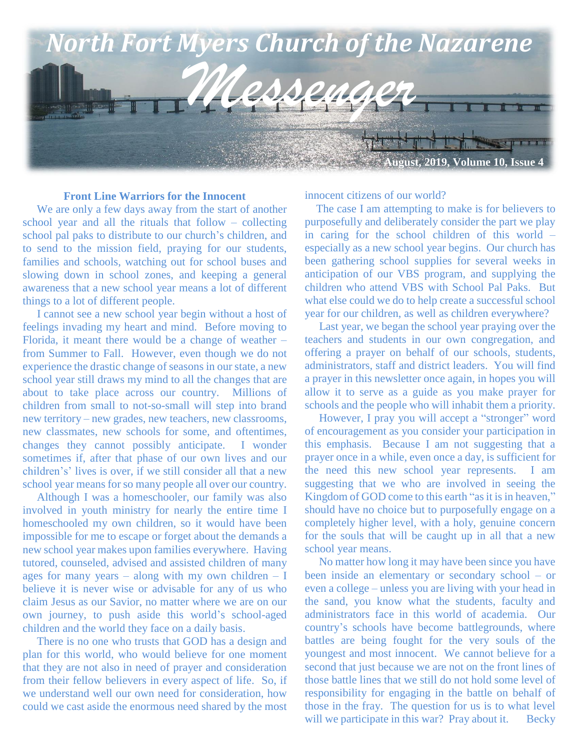

#### **Front Line Warriors for the Innocent**

 We are only a few days away from the start of another school year and all the rituals that follow – collecting school pal paks to distribute to our church's children, and to send to the mission field, praying for our students, families and schools, watching out for school buses and slowing down in school zones, and keeping a general awareness that a new school year means a lot of different things to a lot of different people.

 I cannot see a new school year begin without a host of feelings invading my heart and mind. Before moving to Florida, it meant there would be a change of weather – from Summer to Fall. However, even though we do not experience the drastic change of seasons in our state, a new school year still draws my mind to all the changes that are about to take place across our country. Millions of children from small to not-so-small will step into brand new territory – new grades, new teachers, new classrooms, new classmates, new schools for some, and oftentimes, changes they cannot possibly anticipate. I wonder sometimes if, after that phase of our own lives and our children's' lives is over, if we still consider all that a new school year means for so many people all over our country.

 Although I was a homeschooler, our family was also involved in youth ministry for nearly the entire time I homeschooled my own children, so it would have been impossible for me to escape or forget about the demands a new school year makes upon families everywhere. Having tutored, counseled, advised and assisted children of many ages for many years – along with my own children –  $I$ believe it is never wise or advisable for any of us who claim Jesus as our Savior, no matter where we are on our own journey, to push aside this world's school-aged children and the world they face on a daily basis.

 There is no one who trusts that GOD has a design and plan for this world, who would believe for one moment that they are not also in need of prayer and consideration from their fellow believers in every aspect of life. So, if we understand well our own need for consideration, how could we cast aside the enormous need shared by the most

innocent citizens of our world?

 The case I am attempting to make is for believers to purposefully and deliberately consider the part we play in caring for the school children of this world – especially as a new school year begins. Our church has been gathering school supplies for several weeks in anticipation of our VBS program, and supplying the children who attend VBS with School Pal Paks. But what else could we do to help create a successful school year for our children, as well as children everywhere?

 Last year, we began the school year praying over the teachers and students in our own congregation, and offering a prayer on behalf of our schools, students, administrators, staff and district leaders. You will find a prayer in this newsletter once again, in hopes you will allow it to serve as a guide as you make prayer for schools and the people who will inhabit them a priority.

 However, I pray you will accept a "stronger" word of encouragement as you consider your participation in this emphasis. Because I am not suggesting that a prayer once in a while, even once a day, is sufficient for the need this new school year represents. I am suggesting that we who are involved in seeing the Kingdom of GOD come to this earth "as it is in heaven," should have no choice but to purposefully engage on a completely higher level, with a holy, genuine concern for the souls that will be caught up in all that a new school year means.

 No matter how long it may have been since you have been inside an elementary or secondary school – or even a college – unless you are living with your head in the sand, you know what the students, faculty and administrators face in this world of academia. Our country's schools have become battlegrounds, where battles are being fought for the very souls of the youngest and most innocent. We cannot believe for a second that just because we are not on the front lines of those battle lines that we still do not hold some level of responsibility for engaging in the battle on behalf of those in the fray. The question for us is to what level will we participate in this war? Pray about it. Becky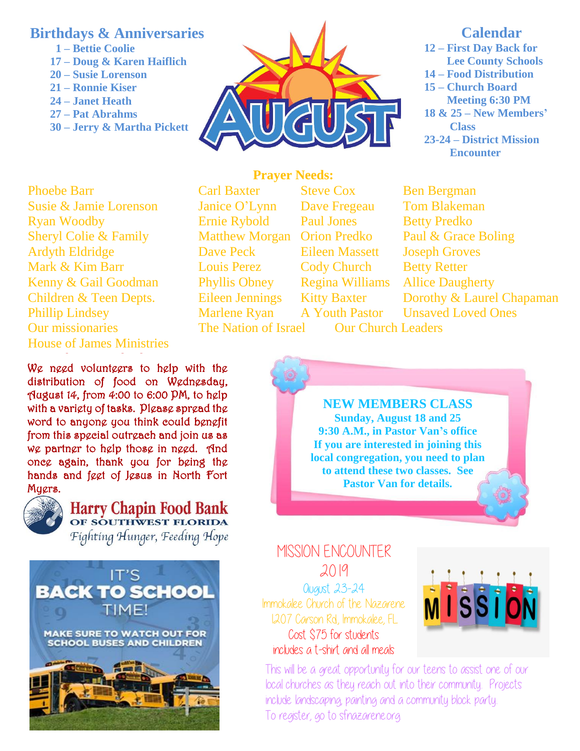# **Birthdays & Anniversaries**

- **1 – Bettie Coolie**
- **17 – Doug & Karen Haiflich**
- **20 – Susie Lorenson**
- **21 – Ronnie Kiser**
- **24 – Janet Heath**
- **27 – Pat Abrahms**
- **30 – Jerry & Martha Pickett**



# **Calendar**

**12 – First Day Back for Lee County Schools 14 – Food Distribution 15 – Church Board Meeting 6:30 PM 18 & 25 – New Members' Class 23-24 – District Mission Encounter**

**Children & Teen Depts.** Phoebe Barr Carl Baxter Steve Cox Ben Bergman Susie & Jamie Lorenson Janice O'Lynn Dave Fregeau Tom Blakeman Ryan Woodby Ernie Rybold Paul Jones Betty Predko Sheryl Colie & Family Matthew Morgan Orion Predko Paul & Grace Boling Ardyth Eldridge Dave Peck Eileen Massett Joseph Groves Mark & Kim Barr **Louis Perez** Cody Church Betty Retter Kenny & Gail Goodman Phyllis Obney Regina Williams Allice Daugherty Phillip Lindsey Marlene Ryan A Youth Pastor Unsaved Loved Ones Our missionaries The Nation of Israel Our Church Leaders House of James Ministries

We need volunteers to help with the distribution of food on Wednesday, August 14, from 4:00 to 6:00 PM, to help with a variety of tasks. Please spread the word to anyone you think could benefit from this special outreach and join us as we partner to help those in need. And once again, thank you for being the hands and feet of Jesus in North Fort Mygrs. Our military, our leaders & our nation



Harry Chapin Food Bank Fighting Hunger, Feeding Hope



**Prayer Needs:**

Eileen Jennings Kitty Baxter Dorothy & Laurel Chapaman



MISSION ENCOUNTER 2019 August 23-24 Immokalee Church of the Nazarene 1207 Carson Rd., Immokalee, FL Cost \$75 for students includes a t-shirt and all meals



This will be a great opportunity for our teens to assist one of our local churches as they reach out into their community.. Projects include landscaping, painting and a community block party.. To register, go to sfnazarene.org.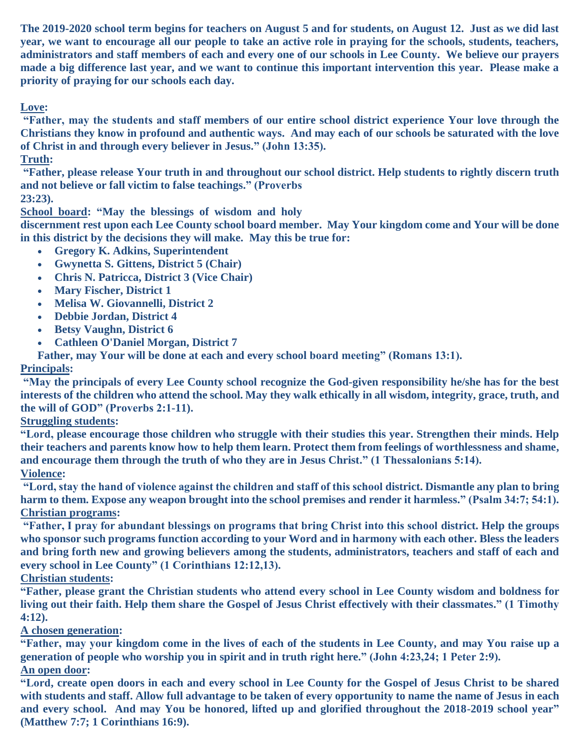**The 2019-2020 school term begins for teachers on August 5 and for students, on August 12. Just as we did last year, we want to encourage all our people to take an active role in praying for the schools, students, teachers, administrators and staff members of each and every one of our schools in Lee County. We believe our prayers made a big difference last year, and we want to continue this important intervention this year. Please make a priority of praying for our schools each day.**

## **Love:**

**"Father, may the students and staff members of our entire school district experience Your love through the Christians they know in profound and authentic ways. And may each of our schools be saturated with the love of Christ in and through every believer in Jesus." (John 13:35).**

### **Truth:**

**"Father, please release Your truth in and throughout our school district. Help students to rightly discern truth and not believe or fall victim to false teachings." (Proverbs** 

**23:23).**

**School board: "May the blessings of wisdom and holy** 

**discernment rest upon each Lee County school board member. May Your kingdom come and Your will be done in this district by the decisions they will make. May this be true for:**

- **Gregory K. Adkins, Superintendent**
- **Gwynetta S. Gittens, District 5 (Chair)**
- **Chris N. Patricca, District 3 (Vice Chair)**
- **Mary Fischer, District 1**
- **Melisa W. Giovannelli, District 2**
- **Debbie Jordan, District 4**
- **Betsy Vaughn, District 6**
- **Cathleen O'Daniel Morgan, District 7**

 **Father, may Your will be done at each and every school board meeting" (Romans 13:1).**

### **Principals:**

**"May the principals of every Lee County school recognize the God-given responsibility he/she has for the best interests of the children who attend the school. May they walk ethically in all wisdom, integrity, grace, truth, and the will of GOD" (Proverbs 2:1-11).**

**Struggling students:**

**"Lord, please encourage those children who struggle with their studies this year. Strengthen their minds. Help their teachers and parents know how to help them learn. Protect them from feelings of worthlessness and shame, and encourage them through the truth of who they are in Jesus Christ." (1 Thessalonians 5:14).**

#### **Violence:**

**"Lord, stay the hand of violence against the children and staff of this school district. Dismantle any plan to bring harm to them. Expose any weapon brought into the school premises and render it harmless." (Psalm 34:7; 54:1). Christian programs:**

**"Father, I pray for abundant blessings on programs that bring Christ into this school district. Help the groups who sponsor such programs function according to your Word and in harmony with each other. Bless the leaders and bring forth new and growing believers among the students, administrators, teachers and staff of each and every school in Lee County" (1 Corinthians 12:12,13).**

### **Christian students:**

**"Father, please grant the Christian students who attend every school in Lee County wisdom and boldness for living out their faith. Help them share the Gospel of Jesus Christ effectively with their classmates." (1 Timothy 4:12).**

### **A chosen generation:**

**"Father, may your kingdom come in the lives of each of the students in Lee County, and may You raise up a generation of people who worship you in spirit and in truth right here." (John 4:23,24; 1 Peter 2:9). An open door:**

**"Lord, create open doors in each and every school in Lee County for the Gospel of Jesus Christ to be shared with students and staff. Allow full advantage to be taken of every opportunity to name the name of Jesus in each and every school. And may You be honored, lifted up and glorified throughout the 2018-2019 school year" (Matthew 7:7; 1 Corinthians 16:9).**